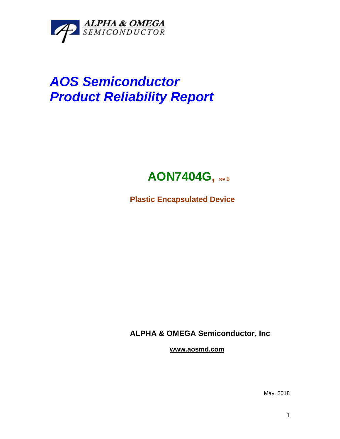

## *AOS Semiconductor Product Reliability Report*



**Plastic Encapsulated Device**

**ALPHA & OMEGA Semiconductor, Inc**

**www.aosmd.com**

May, 2018